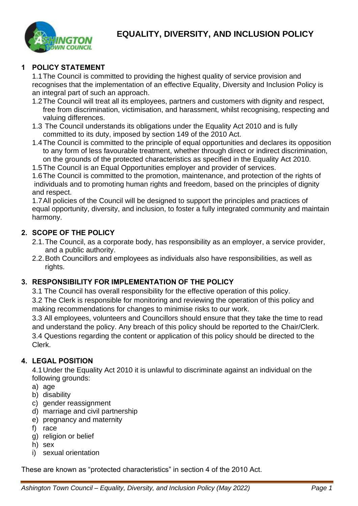

# **EQUALITY, DIVERSITY, AND INCLUSION POLICY**

#### **1 POLICY STATEMENT**

1.1The Council is committed to providing the highest quality of service provision and recognises that the implementation of an effective Equality, Diversity and Inclusion Policy is an integral part of such an approach.

- 1.2The Council will treat all its employees, partners and customers with dignity and respect, free from discrimination, victimisation, and harassment, whilst recognising, respecting and valuing differences.
- 1.3 The Council understands its obligations under the Equality Act 2010 and is fully committed to its duty, imposed by section 149 of the 2010 Act.
- 1.4The Council is committed to the principle of equal opportunities and declares its opposition to any form of less favourable treatment, whether through direct or indirect discrimination, on the grounds of the protected characteristics as specified in the Equality Act 2010.
- 1.5The Council is an Equal Opportunities employer and provider of services.

1.6The Council is committed to the promotion, maintenance, and protection of the rights of individuals and to promoting human rights and freedom, based on the principles of dignity and respect.

1.7All policies of the Council will be designed to support the principles and practices of equal opportunity, diversity, and inclusion, to foster a fully integrated community and maintain harmony.

### **2. SCOPE OF THE POLICY**

- 2.1.The Council, as a corporate body, has responsibility as an employer, a service provider, and a public authority.
- 2.2.Both Councillors and employees as individuals also have responsibilities, as well as rights.

#### **3. RESPONSIBILITY FOR IMPLEMENTATION OF THE POLICY**

3.1 The Council has overall responsibility for the effective operation of this policy.

3.2 The Clerk is responsible for monitoring and reviewing the operation of this policy and making recommendations for changes to minimise risks to our work.

3.3 All employees, volunteers and Councillors should ensure that they take the time to read and understand the policy. Any breach of this policy should be reported to the Chair/Clerk. 3.4 Questions regarding the content or application of this policy should be directed to the Clerk.

#### **4. LEGAL POSITION**

4.1Under the Equality Act 2010 it is unlawful to discriminate against an individual on the following grounds:

- a) age
- b) disability
- c) gender reassignment
- d) marriage and civil partnership
- e) pregnancy and maternity
- f) race
- g) religion or belief
- h) sex
- i) sexual orientation

These are known as "protected characteristics" in section 4 of the 2010 Act.